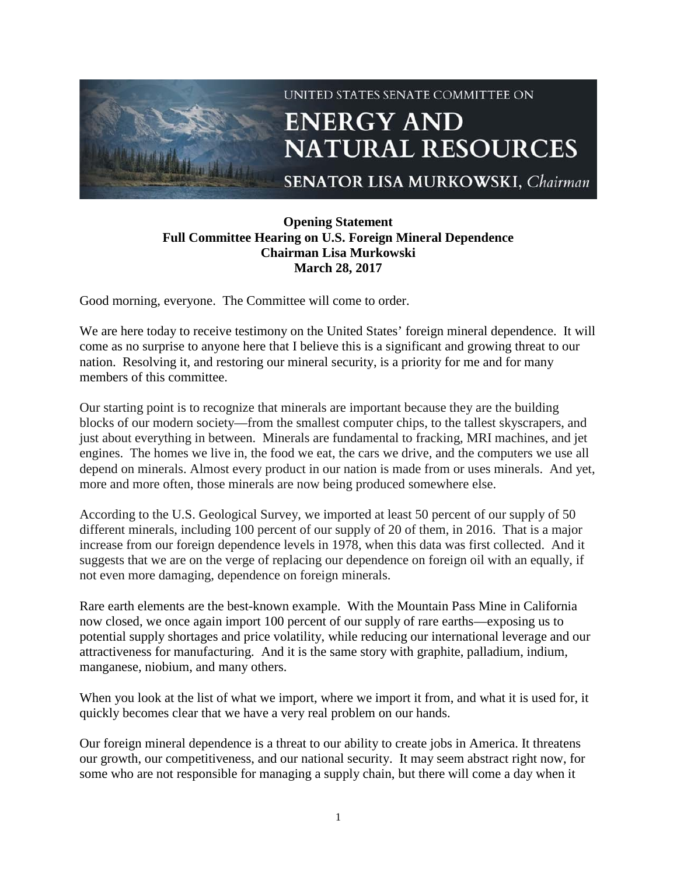

## **Opening Statement Full Committee Hearing on U.S. Foreign Mineral Dependence Chairman Lisa Murkowski March 28, 2017**

Good morning, everyone. The Committee will come to order.

We are here today to receive testimony on the United States' foreign mineral dependence. It will come as no surprise to anyone here that I believe this is a significant and growing threat to our nation. Resolving it, and restoring our mineral security, is a priority for me and for many members of this committee.

Our starting point is to recognize that minerals are important because they are the building blocks of our modern society—from the smallest computer chips, to the tallest skyscrapers, and just about everything in between. Minerals are fundamental to fracking, MRI machines, and jet engines. The homes we live in, the food we eat, the cars we drive, and the computers we use all depend on minerals. Almost every product in our nation is made from or uses minerals. And yet, more and more often, those minerals are now being produced somewhere else.

According to the U.S. Geological Survey, we imported at least 50 percent of our supply of 50 different minerals, including 100 percent of our supply of 20 of them, in 2016. That is a major increase from our foreign dependence levels in 1978, when this data was first collected. And it suggests that we are on the verge of replacing our dependence on foreign oil with an equally, if not even more damaging, dependence on foreign minerals.

Rare earth elements are the best-known example. With the Mountain Pass Mine in California now closed, we once again import 100 percent of our supply of rare earths—exposing us to potential supply shortages and price volatility, while reducing our international leverage and our attractiveness for manufacturing. And it is the same story with graphite, palladium, indium, manganese, niobium, and many others.

When you look at the list of what we import, where we import it from, and what it is used for, it quickly becomes clear that we have a very real problem on our hands.

Our foreign mineral dependence is a threat to our ability to create jobs in America. It threatens our growth, our competitiveness, and our national security. It may seem abstract right now, for some who are not responsible for managing a supply chain, but there will come a day when it